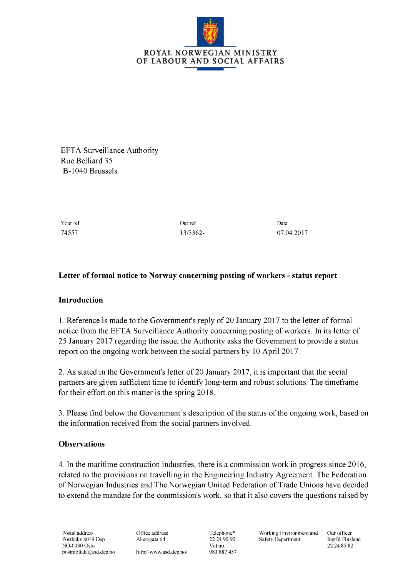

EFTA Surveillance Authority Rue Belliard 35 B-1040 Brussels

Your ref Date Date of Development Curve of Curve Curve Curve Curve Curve Curve Curve Date

74557 13/3362- 07.04.2017

## **Letter of formal notice to Norway concerning posting of workers - status report**

## **Introduction**

1. Reference is made to the Government's reply of 20 January 2017 to the letter of formal notice from the EFTA Surveillance Authority concerning posting of workers. In its letter of 25 January 2017 regarding the issue, the Authority asks the Government to provide a status report on the ongoing work between the social partners by 10 April 2017.

2. As stated in the Government's letter of 20 January 2017, it is important that the social partners are given sufficient time to identify long-term and robust solutions. The timeframe for their effort on this matter is the spring 2018.

3. Please find below the Government's description of the status of the ongoing work, based on the information received from the social partners involved.

## **Observations**

4. In the maritime construction industries, there is a commission work in progress since 2016, related to the provisions on travelling in the Engineering Industry Agreement. The Federation of Norwegian Industries and The Norwegian United Federation of Trade Unions have decided to extend the mandate for the commission's work, so that it also covers the questions raised by

<http://www.asd.dep.no/>

Vat no. 22 24 85 82<br>983 887 457

Telephone\* Working Environment and Our officer Safety Department